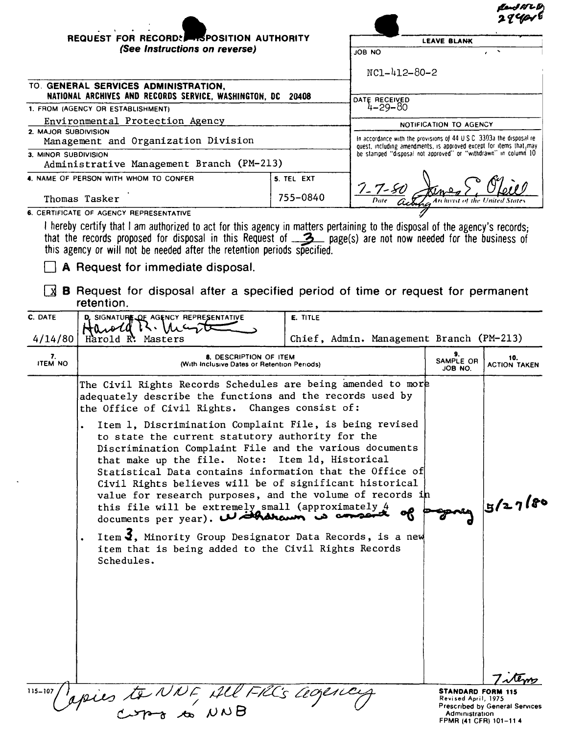|                                                     | REQUEST FOR RECORD: FOR POSITION AUTHORITY                                                                                                                                                                                                                                                                                                                                                                                                                                                                            |                                                                       | <b>LEAVE BLANK</b>                                                                                                                    |                                                                 |                                       |
|-----------------------------------------------------|-----------------------------------------------------------------------------------------------------------------------------------------------------------------------------------------------------------------------------------------------------------------------------------------------------------------------------------------------------------------------------------------------------------------------------------------------------------------------------------------------------------------------|-----------------------------------------------------------------------|---------------------------------------------------------------------------------------------------------------------------------------|-----------------------------------------------------------------|---------------------------------------|
|                                                     | (See Instructions on reverse)                                                                                                                                                                                                                                                                                                                                                                                                                                                                                         |                                                                       |                                                                                                                                       |                                                                 |                                       |
|                                                     |                                                                                                                                                                                                                                                                                                                                                                                                                                                                                                                       |                                                                       | NC1-412-80-2                                                                                                                          |                                                                 |                                       |
|                                                     | TO. GENERAL SERVICES ADMINISTRATION,                                                                                                                                                                                                                                                                                                                                                                                                                                                                                  |                                                                       |                                                                                                                                       |                                                                 |                                       |
|                                                     | NATIONAL ARCHIVES AND RECORDS SERVICE, WASHINGTON, DC 20408<br>1. FROM (AGENCY OR ESTABLISHMENT)                                                                                                                                                                                                                                                                                                                                                                                                                      |                                                                       | DATE RECEIVED<br>4-29-80                                                                                                              |                                                                 |                                       |
|                                                     | Environmental Protection Agency                                                                                                                                                                                                                                                                                                                                                                                                                                                                                       |                                                                       | NOTIFICATION TO AGENCY                                                                                                                |                                                                 |                                       |
| 2. MAJOR SUBDIVISION                                | Management and Organization Division                                                                                                                                                                                                                                                                                                                                                                                                                                                                                  | In accordance with the provisions of 44 U.S.C. 3303a the disposal re- |                                                                                                                                       |                                                                 |                                       |
| 3. MINOR SUBDIVISION                                |                                                                                                                                                                                                                                                                                                                                                                                                                                                                                                                       |                                                                       | quest, including amendments, is approved except for items that, may<br>be stamped "disposal not approved" or "withdrawn" in column 10 |                                                                 |                                       |
|                                                     | Administrative Management Branch (PM-213)                                                                                                                                                                                                                                                                                                                                                                                                                                                                             |                                                                       |                                                                                                                                       |                                                                 |                                       |
| 4. NAME OF PERSON WITH WHOM TO CONFER<br>5. TEL EXT |                                                                                                                                                                                                                                                                                                                                                                                                                                                                                                                       |                                                                       |                                                                                                                                       |                                                                 |                                       |
|                                                     | Thomas Tasker                                                                                                                                                                                                                                                                                                                                                                                                                                                                                                         | 755-0840                                                              | $\frac{7 - 7 - 80}{2}$                                                                                                                |                                                                 |                                       |
|                                                     | 6. CERTIFICATE OF AGENCY REPRESENTATIVE                                                                                                                                                                                                                                                                                                                                                                                                                                                                               |                                                                       |                                                                                                                                       |                                                                 |                                       |
|                                                     | I hereby certify that I am authorized to act for this agency in matters pertaining to the disposal of the agency's records;<br>that the records proposed for disposal in this Request of 3 page(s) are not now needed for the business of<br>this agency or will not be needed after the retention periods specified.<br>A Request for immediate disposal.<br><b>B</b> Request for disposal after a specified period of time or request for permanent                                                                 |                                                                       |                                                                                                                                       |                                                                 |                                       |
|                                                     | retention.                                                                                                                                                                                                                                                                                                                                                                                                                                                                                                            |                                                                       |                                                                                                                                       |                                                                 |                                       |
| C. DATE<br>4/14/80                                  | D. SIGNATURE OF AGENCY REPRESENTATIVE<br>Harold K. Inc<br>Harold R: Masters                                                                                                                                                                                                                                                                                                                                                                                                                                           | E. TITLE                                                              | Chief, Admin. Management Branch (PM-213)                                                                                              |                                                                 |                                       |
| 7.<br><b>ITEM NO</b>                                | 8. DESCRIPTION OF ITEM<br>(With Inclusive Dates or Retention Periods)                                                                                                                                                                                                                                                                                                                                                                                                                                                 |                                                                       |                                                                                                                                       | 9.<br>SAMPLE OR<br>JOB NO.                                      | 10.<br><b>ACTION TAKEN</b>            |
|                                                     | The Civil Rights Records Schedules are being amended to more<br>adequately describe the functions and the records used by<br>the Office of Civil Rights. Changes consist of:                                                                                                                                                                                                                                                                                                                                          |                                                                       |                                                                                                                                       |                                                                 |                                       |
|                                                     | Item 1, Discrimination Complaint File, is being revised<br>to state the current statutory authority for the<br>Discrimination Complaint File and the various documents<br>that make up the file. Note: Item 1d, Historical<br>Statistical Data contains information that the Office of<br>Civil Rights believes will be of significant historical<br>value for research purposes, and the volume of records in<br>this file will be extremely small (approximately 4<br>documents per year). With the win is conseint |                                                                       | 5/27/80                                                                                                                               |                                                                 |                                       |
|                                                     | Item $\overline{3}$ , Minority Group Designator Data Records, is a new<br>item that is being added to the Civil Rights Records<br>Schedules.                                                                                                                                                                                                                                                                                                                                                                          |                                                                       |                                                                                                                                       |                                                                 |                                       |
|                                                     |                                                                                                                                                                                                                                                                                                                                                                                                                                                                                                                       |                                                                       |                                                                                                                                       | <b>STANDARD FORM 115</b>                                        | 7.te                                  |
|                                                     | 115-107 apies to NNF All FRCs agency                                                                                                                                                                                                                                                                                                                                                                                                                                                                                  |                                                                       |                                                                                                                                       | Revised April, 1975<br>Administration<br>FPMR (41 CFR) 101-11 4 | <b>Prescribed by General Services</b> |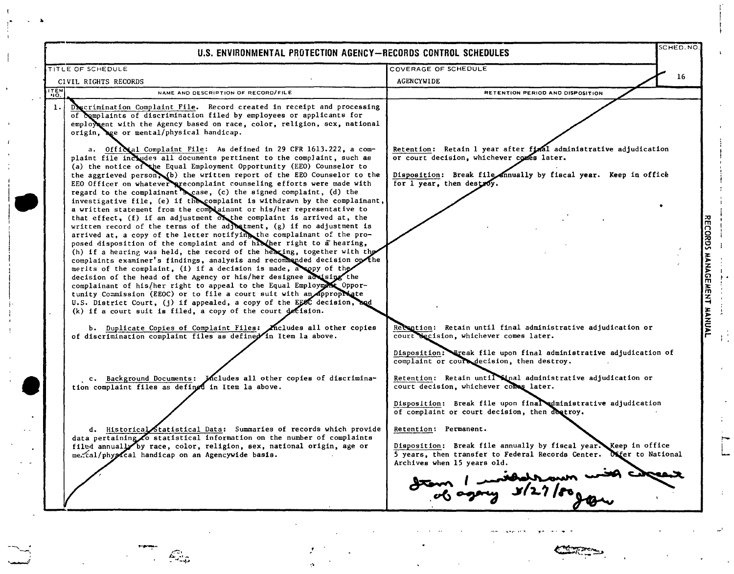|                | TITLE OF SCHEDULE                                                                                                                                                                                                                                                                                                                                                                                                                                                                                                                                                                                                                                                                                                                                                                                                                                                                                                                                                                                                                                           | COVERAGE OF SCHEDULE                                                                                                                                                                                                                                                                                                          |  |
|----------------|-------------------------------------------------------------------------------------------------------------------------------------------------------------------------------------------------------------------------------------------------------------------------------------------------------------------------------------------------------------------------------------------------------------------------------------------------------------------------------------------------------------------------------------------------------------------------------------------------------------------------------------------------------------------------------------------------------------------------------------------------------------------------------------------------------------------------------------------------------------------------------------------------------------------------------------------------------------------------------------------------------------------------------------------------------------|-------------------------------------------------------------------------------------------------------------------------------------------------------------------------------------------------------------------------------------------------------------------------------------------------------------------------------|--|
|                | CIVIL RIGHTS RECORDS                                                                                                                                                                                                                                                                                                                                                                                                                                                                                                                                                                                                                                                                                                                                                                                                                                                                                                                                                                                                                                        | 16<br>AGENCYWIDE                                                                                                                                                                                                                                                                                                              |  |
| <b>ITEM</b>    | NAME AND DESCRIPTION OF RECORD/FILE                                                                                                                                                                                                                                                                                                                                                                                                                                                                                                                                                                                                                                                                                                                                                                                                                                                                                                                                                                                                                         | RETENTION PERIOD AND DISPOSITION                                                                                                                                                                                                                                                                                              |  |
| $\mathbf{1}$ . | Descrimination Complaint File. Record created in receipt and processing<br>of complaints of discrimination filed by employees or applicants for<br>employment with the Agency based on race, color, religion, sex, national<br>origin, age or mental/physical handicap.<br>a. Official Complaint File: As defined in 29 CFR 1613.222, a com-<br>plaint file includes all documents pertinent to the complaint, such as<br>(a) the notice of the Equal Employment Opportunity (EEO) Counselor to<br>the aggrieved person, (b) the written report of the EEO Counselor to the                                                                                                                                                                                                                                                                                                                                                                                                                                                                                 | Retention: Retain 1 year after final administrative adjudication<br>or court decision, whichever comes later.<br>Disposition: Break file annually by fiscal year. Keep in office                                                                                                                                              |  |
|                | EEO Officer on whatever precomplaint counseling efforts were made with<br>regard to the complainant scase, (c) the signed complaint, (d) the<br>investigative file, (e) if the complaint is withdrawn by the complainant,<br>a written statement from the complainant or his/her representative to<br>that effect, (f) if an adjustment of the complaint is arrived at, the<br>written record of the terms of the adjustment, (g) if no adjustment is<br>arrived at, a copy of the letter notifying the complainant of the pro-<br>posed disposition of the complaint and of his her right to a hearing,<br>(h) if a hearing was held, the record of the hearing, together with the<br>complaints examiner's findings, analysis and recommended decision on the<br>merits of the complaint, (1) if a decision is made, a ppy of the<br>decision of the head of the Agency or his/her designee advising the<br>complainant of his/her right to appeal to the Equal Employment Oppor-<br>tunity Commission (EEOC) or to file a court suit with an appropriate | for 1 year, then destroy.                                                                                                                                                                                                                                                                                                     |  |
|                | U.S. District Court, (j) if appealed, a copy of the EEOC decision, and<br>$(k)$ if a court suit is filed, a copy of the court decision.<br>b. Duplicate Copies of Complaint Files: Micludes all other copies<br>of discrimination complaint files as defined in Item la above.                                                                                                                                                                                                                                                                                                                                                                                                                                                                                                                                                                                                                                                                                                                                                                              | Recontion: Retain until final administrative adjudication or<br>court decision, whichever comes later.<br>Disposition: Ereak file upon final administrative adjudication of<br>complaint or cours decision, then destroy.                                                                                                     |  |
|                | c. Background Documents: Mcludes all other copies of discrimina-<br>tion complaint files as defined in Item la above.                                                                                                                                                                                                                                                                                                                                                                                                                                                                                                                                                                                                                                                                                                                                                                                                                                                                                                                                       | Retention: Retain until Sinal administrative adjudication or<br>court decision, whichever comes later.                                                                                                                                                                                                                        |  |
|                | d. Historical Statistical Data: Summaries of records which provide<br>data pertaining to statistical information on the number of complaints<br>filed annually by race, color, religion, sex, national origin, age or<br>me.tal/physical handicap on an Agencywide basis.                                                                                                                                                                                                                                                                                                                                                                                                                                                                                                                                                                                                                                                                                                                                                                                   | Disposition: Break file upon final administrative adjudication<br>of complaint or court decision, then dectroy.<br>Retention: Permanent.<br>Disposition: Break file annually by fiscal year. Keep in office<br>5 years, then transfer to Federal Records Center. Offer to National<br>Archives when 15 years old.<br>marchade |  |

~'.

j.

----- --, .'